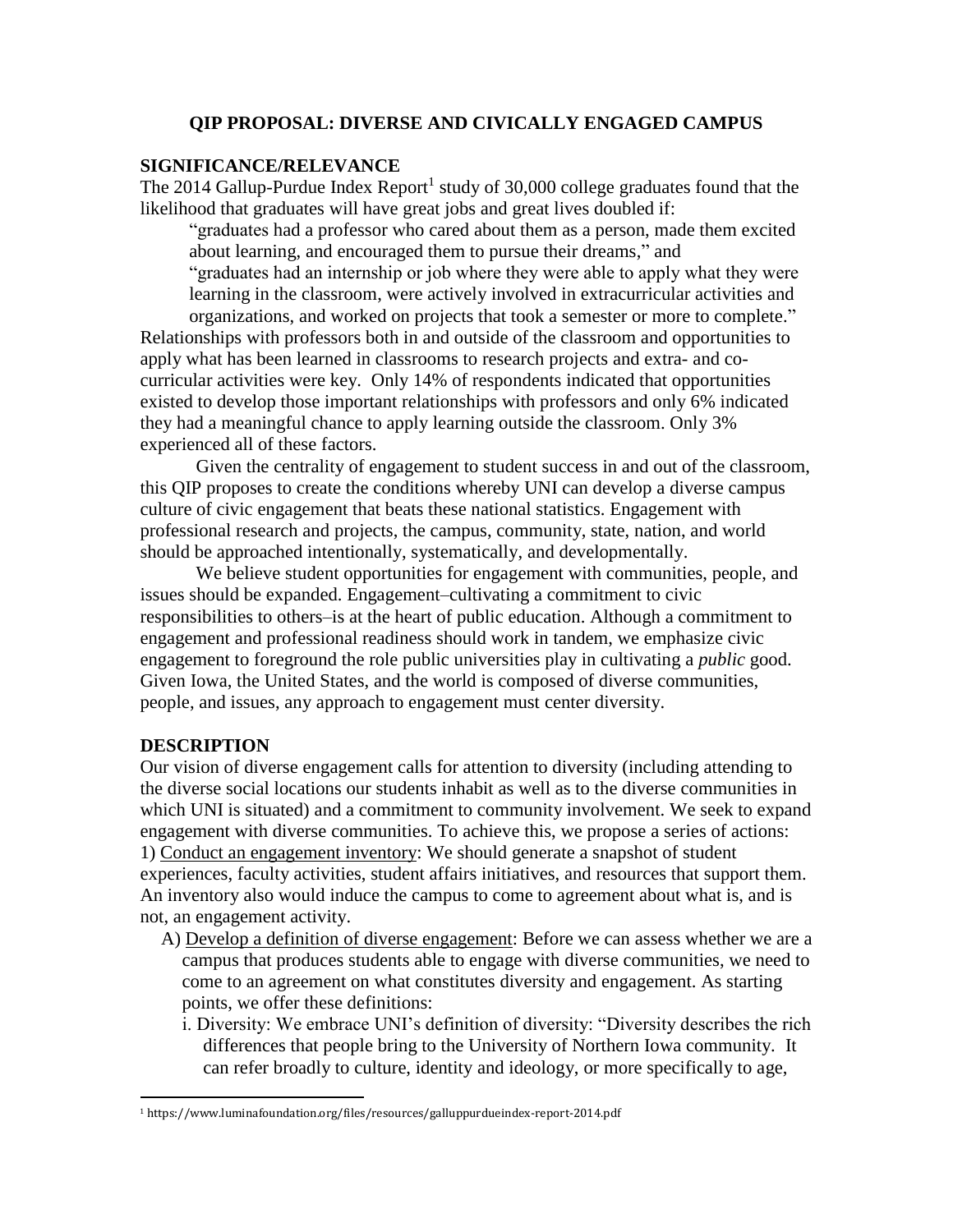### **QIP PROPOSAL: DIVERSE AND CIVICALLY ENGAGED CAMPUS**

### **SIGNIFICANCE/RELEVANCE**

The 2014 Gallup-Purdue Index Report<sup>1</sup> study of 30,000 college graduates found that the likelihood that graduates will have great jobs and great lives doubled if:

"graduates had a professor who cared about them as a person, made them excited about learning, and encouraged them to pursue their dreams," and

"graduates had an internship or job where they were able to apply what they were learning in the classroom, were actively involved in extracurricular activities and

organizations, and worked on projects that took a semester or more to complete." Relationships with professors both in and outside of the classroom and opportunities to apply what has been learned in classrooms to research projects and extra- and cocurricular activities were key. Only 14% of respondents indicated that opportunities existed to develop those important relationships with professors and only 6% indicated they had a meaningful chance to apply learning outside the classroom. Only 3% experienced all of these factors.

Given the centrality of engagement to student success in and out of the classroom, this QIP proposes to create the conditions whereby UNI can develop a diverse campus culture of civic engagement that beats these national statistics. Engagement with professional research and projects, the campus, community, state, nation, and world should be approached intentionally, systematically, and developmentally.

We believe student opportunities for engagement with communities, people, and issues should be expanded. Engagement–cultivating a commitment to civic responsibilities to others–is at the heart of public education. Although a commitment to engagement and professional readiness should work in tandem, we emphasize civic engagement to foreground the role public universities play in cultivating a *public* good. Given Iowa, the United States, and the world is composed of diverse communities, people, and issues, any approach to engagement must center diversity.

## **DESCRIPTION**

 $\overline{a}$ 

Our vision of diverse engagement calls for attention to diversity (including attending to the diverse social locations our students inhabit as well as to the diverse communities in which UNI is situated) and a commitment to community involvement. We seek to expand engagement with diverse communities. To achieve this, we propose a series of actions: 1) Conduct an engagement inventory: We should generate a snapshot of student experiences, faculty activities, student affairs initiatives, and resources that support them. An inventory also would induce the campus to come to agreement about what is, and is not, an engagement activity.

- A) Develop a definition of diverse engagement: Before we can assess whether we are a campus that produces students able to engage with diverse communities, we need to come to an agreement on what constitutes diversity and engagement. As starting points, we offer these definitions:
	- i. Diversity: We embrace UNI's definition of diversity: "Diversity describes the rich differences that people bring to the University of Northern Iowa community. It can refer broadly to culture, identity and ideology, or more specifically to age,

<sup>1</sup> https://www.luminafoundation.org/files/resources/galluppurdueindex-report-2014.pdf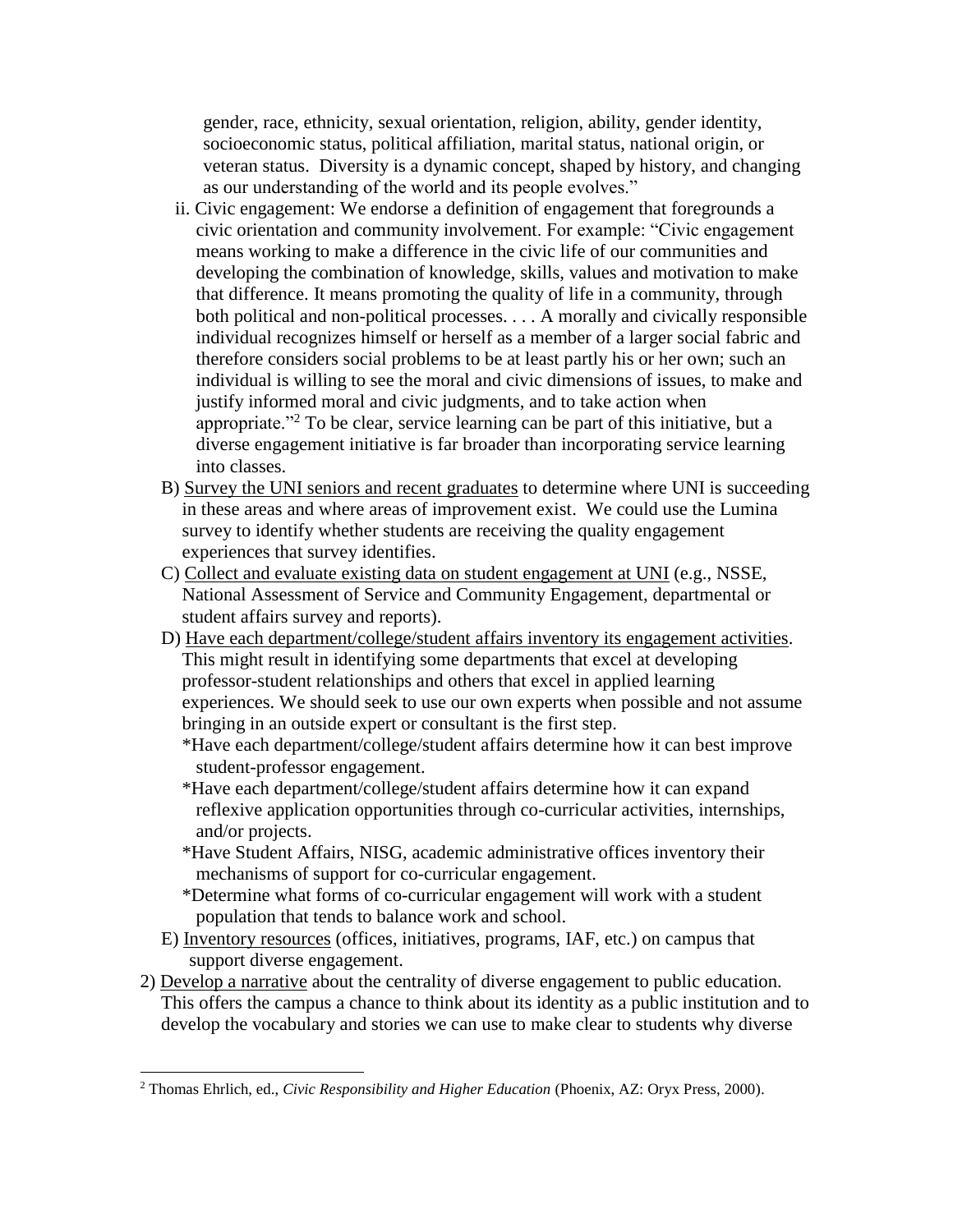gender, race, ethnicity, sexual orientation, religion, ability, gender identity, socioeconomic status, political affiliation, marital status, national origin, or veteran status. Diversity is a dynamic concept, shaped by history, and changing as our understanding of the world and its people evolves."

- ii. Civic engagement: We endorse a definition of engagement that foregrounds a civic orientation and community involvement. For example: "Civic engagement means working to make a difference in the civic life of our communities and developing the combination of knowledge, skills, values and motivation to make that difference. It means promoting the quality of life in a community, through both political and non-political processes. . . . A morally and civically responsible individual recognizes himself or herself as a member of a larger social fabric and therefore considers social problems to be at least partly his or her own; such an individual is willing to see the moral and civic dimensions of issues, to make and justify informed moral and civic judgments, and to take action when appropriate."<sup>2</sup> To be clear, service learning can be part of this initiative, but a diverse engagement initiative is far broader than incorporating service learning into classes.
- B) Survey the UNI seniors and recent graduates to determine where UNI is succeeding in these areas and where areas of improvement exist. We could use the Lumina survey to identify whether students are receiving the quality engagement experiences that survey identifies.
- C) Collect and evaluate existing data on student engagement at UNI (e.g., NSSE, National Assessment of Service and Community Engagement, departmental or student affairs survey and reports).
- D) Have each department/college/student affairs inventory its engagement activities. This might result in identifying some departments that excel at developing professor-student relationships and others that excel in applied learning experiences. We should seek to use our own experts when possible and not assume bringing in an outside expert or consultant is the first step.

\*Have each department/college/student affairs determine how it can best improve student-professor engagement.

- \*Have each department/college/student affairs determine how it can expand reflexive application opportunities through co-curricular activities, internships, and/or projects.
- \*Have Student Affairs, NISG, academic administrative offices inventory their mechanisms of support for co-curricular engagement.
- \*Determine what forms of co-curricular engagement will work with a student population that tends to balance work and school.
- E) Inventory resources (offices, initiatives, programs, IAF, etc.) on campus that support diverse engagement.
- 2) Develop a narrative about the centrality of diverse engagement to public education. This offers the campus a chance to think about its identity as a public institution and to develop the vocabulary and stories we can use to make clear to students why diverse

 $\overline{a}$ 

<sup>2</sup> Thomas Ehrlich, ed., *Civic Responsibility and Higher Education* (Phoenix, AZ: Oryx Press, 2000).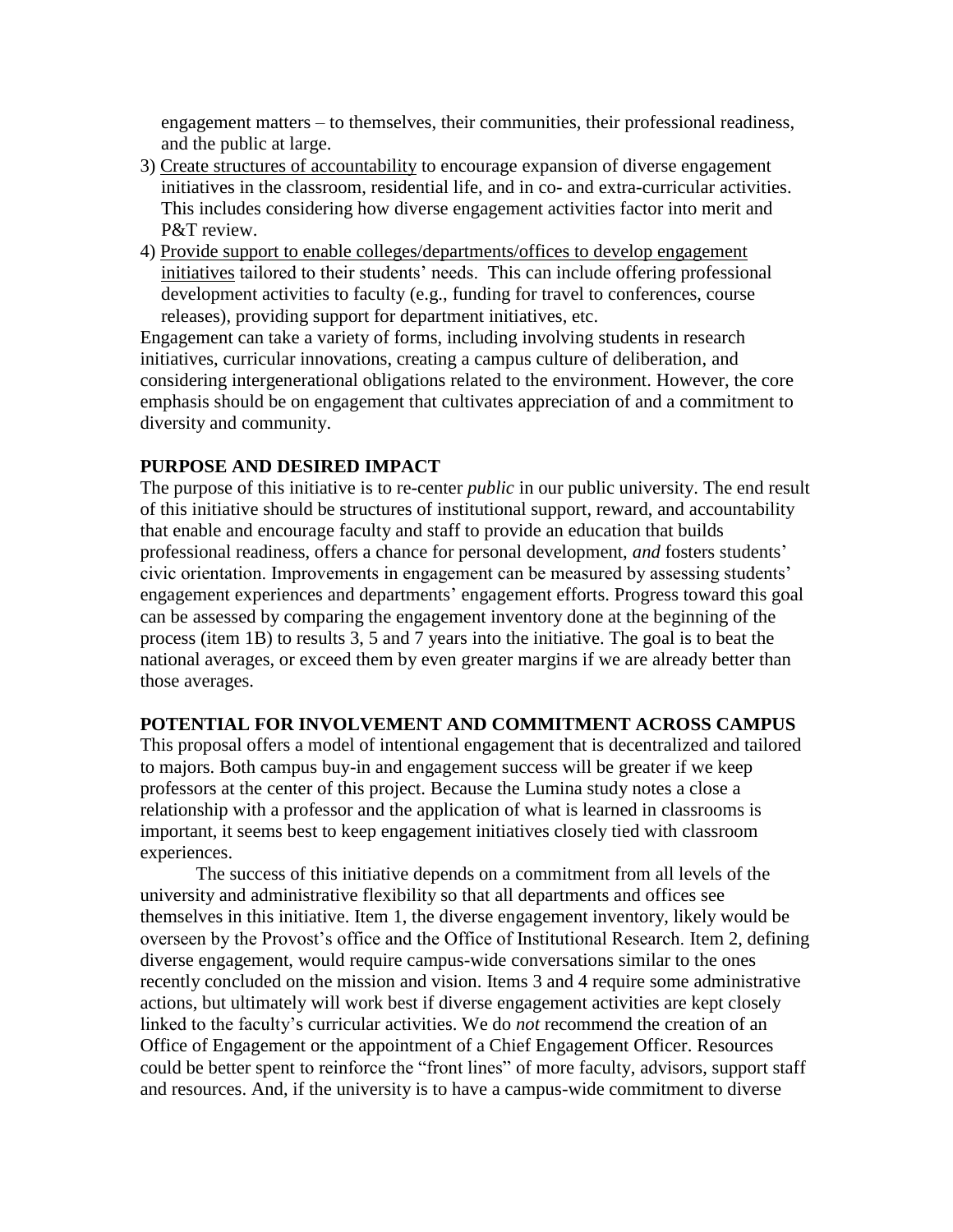engagement matters – to themselves, their communities, their professional readiness, and the public at large.

- 3) Create structures of accountability to encourage expansion of diverse engagement initiatives in the classroom, residential life, and in co- and extra-curricular activities. This includes considering how diverse engagement activities factor into merit and P&T review.
- 4) Provide support to enable colleges/departments/offices to develop engagement initiatives tailored to their students' needs. This can include offering professional development activities to faculty (e.g., funding for travel to conferences, course releases), providing support for department initiatives, etc.

Engagement can take a variety of forms, including involving students in research initiatives, curricular innovations, creating a campus culture of deliberation, and considering intergenerational obligations related to the environment. However, the core emphasis should be on engagement that cultivates appreciation of and a commitment to diversity and community.

# **PURPOSE AND DESIRED IMPACT**

The purpose of this initiative is to re-center *public* in our public university. The end result of this initiative should be structures of institutional support, reward, and accountability that enable and encourage faculty and staff to provide an education that builds professional readiness, offers a chance for personal development, *and* fosters students' civic orientation. Improvements in engagement can be measured by assessing students' engagement experiences and departments' engagement efforts. Progress toward this goal can be assessed by comparing the engagement inventory done at the beginning of the process (item 1B) to results 3, 5 and 7 years into the initiative. The goal is to beat the national averages, or exceed them by even greater margins if we are already better than those averages.

#### **POTENTIAL FOR INVOLVEMENT AND COMMITMENT ACROSS CAMPUS**

This proposal offers a model of intentional engagement that is decentralized and tailored to majors. Both campus buy-in and engagement success will be greater if we keep professors at the center of this project. Because the Lumina study notes a close a relationship with a professor and the application of what is learned in classrooms is important, it seems best to keep engagement initiatives closely tied with classroom experiences.

The success of this initiative depends on a commitment from all levels of the university and administrative flexibility so that all departments and offices see themselves in this initiative. Item 1, the diverse engagement inventory, likely would be overseen by the Provost's office and the Office of Institutional Research. Item 2, defining diverse engagement, would require campus-wide conversations similar to the ones recently concluded on the mission and vision. Items 3 and 4 require some administrative actions, but ultimately will work best if diverse engagement activities are kept closely linked to the faculty's curricular activities. We do *not* recommend the creation of an Office of Engagement or the appointment of a Chief Engagement Officer. Resources could be better spent to reinforce the "front lines" of more faculty, advisors, support staff and resources. And, if the university is to have a campus-wide commitment to diverse